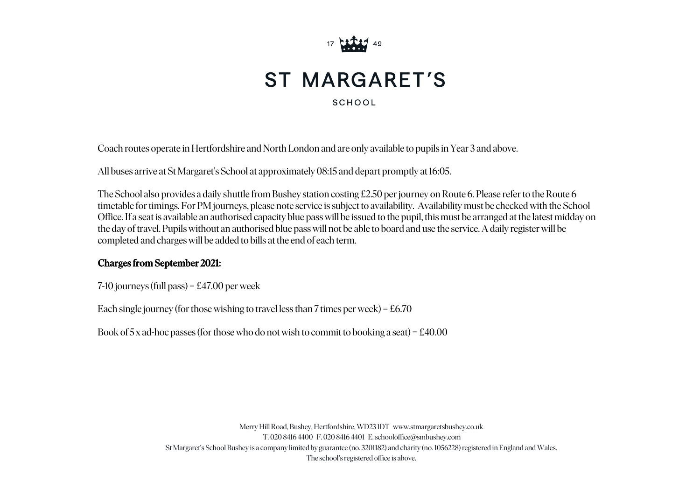

## **ST MARGARET'S**

SCHOOL

Coach routes operate in Hertfordshire and North London and are only available to pupils in Year 3 and above.

All buses arrive at St Margaret's School at approximately 08:15 and depart promptly at 16: 05.

The School also provides a daily shuttle from Bushey station costing £2.50 per journey on Route 6. Please refer to the Route 6 timetable for timings. For PM journeys, please note service is subject to availability. Availability must be checked with the School Office. If a seat is available an authorised capacity blue pass will be issued to the pupil, this must be arranged at the latest midday on the day of travel. Pupils without an authorised blue pass will not be able to board and use the service. A daily register will be completed and charges will be added to bills at the end of each term.

## Charges from September 2021:

7-10 journeys (full pass) = £47.00 per week

Each single journey (for those wishing to travel less than 7 times per week) =  $£6.70$ 

Book of 5 x ad-hoc passes (for those who do not wish to commit to booking a seat) =  $\text{\pounds}40.00$ 

Merry Hill Road, Bushey, Hertfordshire, WD23 1DT www.stmargaretsbushey.co.uk T. 020 8416 4400 F. 020 8416 4401 E. schooloffice @smbushey.com St Margaret's School Bushey is a company limited by guarantee (no. 3201182) and charity (no. 1056228) registered in England and Wales. The school's registered office is above.